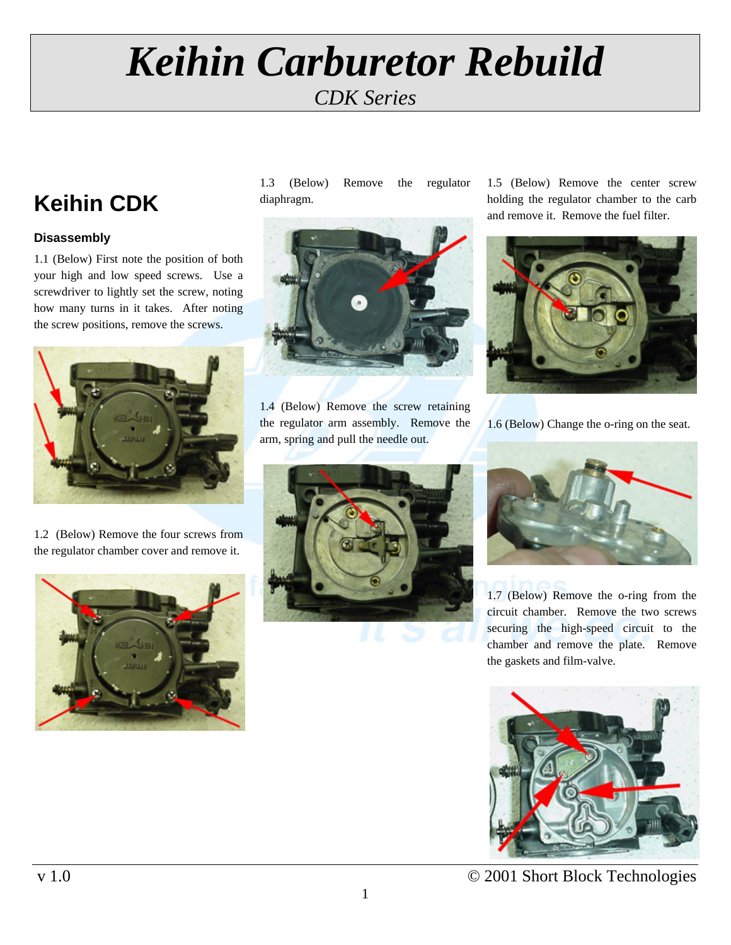# *Keihin Carburetor Rebuild CDK Series*

## **Keihin CDK**

## **Disassembly**

1.1 (Below) First note the position of both your high and low speed screws. Use a screwdriver to lightly set the screw, noting how many turns in it takes. After noting the screw positions, remove the screws.



1.2 (Below) Remove the four screws from the regulator chamber cover and remove it.



1.3 (Below) Remove the regulator diaphragm.



1.4 (Below) Remove the screw retaining the regulator arm assembly. Remove the arm, spring and pull the needle out.

1.5 (Below) Remove the center screw holding the regulator chamber to the carb and remove it. Remove the fuel filter.



1.6 (Below) Change the o-ring on the seat.





1.7 (Below) Remove the o-ring from the circuit chamber. Remove the two screws securing the high-speed circuit to the chamber and remove the plate. Remove the gaskets and film-valve.



v 1.0  $\degree$  2001 Short Block Technologies